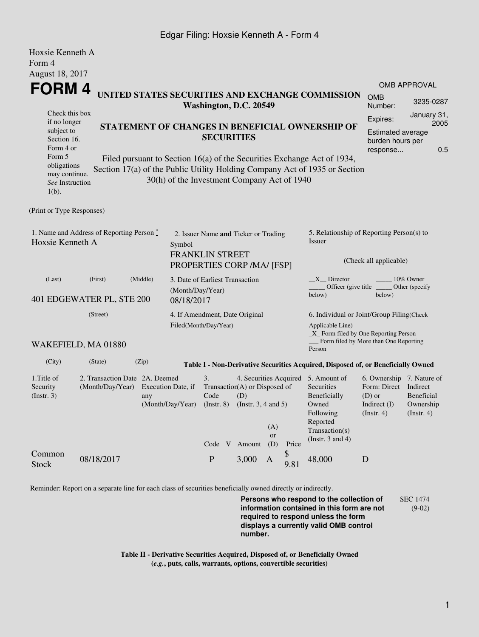## Edgar Filing: Hoxsie Kenneth A - Form 4

| Hoxsie Kenneth A                                                                                                                                                                                                                                                                                              |                                      |                                                                                 |                                                                   |                                                         |                                                                                                                                                                                                   |                                                                    |                     |                       |                                                                                                                                                  |                                                                                                 |                                                    |  |  |
|---------------------------------------------------------------------------------------------------------------------------------------------------------------------------------------------------------------------------------------------------------------------------------------------------------------|--------------------------------------|---------------------------------------------------------------------------------|-------------------------------------------------------------------|---------------------------------------------------------|---------------------------------------------------------------------------------------------------------------------------------------------------------------------------------------------------|--------------------------------------------------------------------|---------------------|-----------------------|--------------------------------------------------------------------------------------------------------------------------------------------------|-------------------------------------------------------------------------------------------------|----------------------------------------------------|--|--|
| Form 4                                                                                                                                                                                                                                                                                                        |                                      |                                                                                 |                                                                   |                                                         |                                                                                                                                                                                                   |                                                                    |                     |                       |                                                                                                                                                  |                                                                                                 |                                                    |  |  |
| August 18, 2017                                                                                                                                                                                                                                                                                               |                                      |                                                                                 |                                                                   |                                                         |                                                                                                                                                                                                   |                                                                    |                     |                       |                                                                                                                                                  |                                                                                                 |                                                    |  |  |
|                                                                                                                                                                                                                                                                                                               |                                      |                                                                                 |                                                                   |                                                         |                                                                                                                                                                                                   |                                                                    | <b>OMB APPROVAL</b> |                       |                                                                                                                                                  |                                                                                                 |                                                    |  |  |
| <b>FORM4</b><br>UNITED STATES SECURITIES AND EXCHANGE COMMISSION<br>Washington, D.C. 20549                                                                                                                                                                                                                    |                                      |                                                                                 |                                                                   |                                                         |                                                                                                                                                                                                   |                                                                    |                     | <b>OMB</b><br>Number: | 3235-0287                                                                                                                                        |                                                                                                 |                                                    |  |  |
| Check this box<br>if no longer<br>STATEMENT OF CHANGES IN BENEFICIAL OWNERSHIP OF<br>subject to<br>Section 16.<br>Form 4 or<br>Form 5<br>Filed pursuant to Section 16(a) of the Securities Exchange Act of 1934,<br>obligations<br>Section 17(a) of the Public Utility Holding Company Act of 1935 or Section |                                      |                                                                                 |                                                                   |                                                         |                                                                                                                                                                                                   | <b>SECURITIES</b>                                                  |                     |                       | January 31,<br>Expires:<br>2005<br><b>Estimated average</b><br>burden hours per<br>0.5<br>response                                               |                                                                                                 |                                                    |  |  |
| may continue.<br>See Instruction<br>$1(b)$ .                                                                                                                                                                                                                                                                  |                                      |                                                                                 | 30(h) of the Investment Company Act of 1940                       |                                                         |                                                                                                                                                                                                   |                                                                    |                     |                       |                                                                                                                                                  |                                                                                                 |                                                    |  |  |
| (Print or Type Responses)                                                                                                                                                                                                                                                                                     |                                      |                                                                                 |                                                                   |                                                         |                                                                                                                                                                                                   |                                                                    |                     |                       |                                                                                                                                                  |                                                                                                 |                                                    |  |  |
| 1. Name and Address of Reporting Person*<br>Hoxsie Kenneth A<br>Symbol                                                                                                                                                                                                                                        |                                      |                                                                                 |                                                                   | <b>FRANKLIN STREET</b>                                  |                                                                                                                                                                                                   | 2. Issuer Name and Ticker or Trading<br>PROPERTIES CORP /MA/ [FSP] |                     |                       | 5. Relationship of Reporting Person(s) to<br>Issuer<br>(Check all applicable)                                                                    |                                                                                                 |                                                    |  |  |
| (Last)                                                                                                                                                                                                                                                                                                        | (First)<br>401 EDGEWATER PL, STE 200 | (Middle)                                                                        | 3. Date of Earliest Transaction<br>(Month/Day/Year)<br>08/18/2017 |                                                         |                                                                                                                                                                                                   |                                                                    |                     |                       | X Director<br>Officer (give title<br>below)                                                                                                      | below)                                                                                          | 10% Owner<br>Other (specify                        |  |  |
| (Street)                                                                                                                                                                                                                                                                                                      |                                      |                                                                                 |                                                                   | 4. If Amendment, Date Original<br>Filed(Month/Day/Year) |                                                                                                                                                                                                   |                                                                    |                     |                       | 6. Individual or Joint/Group Filing(Check<br>Applicable Line)<br>_X_ Form filed by One Reporting Person<br>Form filed by More than One Reporting |                                                                                                 |                                                    |  |  |
|                                                                                                                                                                                                                                                                                                               | WAKEFIELD, MA 01880                  |                                                                                 |                                                                   |                                                         |                                                                                                                                                                                                   |                                                                    |                     |                       | Person                                                                                                                                           |                                                                                                 |                                                    |  |  |
| (City)                                                                                                                                                                                                                                                                                                        | (State)                              | (Zip)                                                                           |                                                                   |                                                         |                                                                                                                                                                                                   |                                                                    |                     |                       | Table I - Non-Derivative Securities Acquired, Disposed of, or Beneficially Owned                                                                 |                                                                                                 |                                                    |  |  |
| 1.Title of<br>Security<br>(Insert. 3)                                                                                                                                                                                                                                                                         | (Month/Day/Year)                     | 2. Transaction Date 2A. Deemed<br>Execution Date, if<br>any<br>(Month/Day/Year) |                                                                   |                                                         | 3.<br>4. Securities Acquired 5. Amount of<br>Transaction(A) or Disposed of<br>Code<br>(D)<br>(Instr. $3, 4$ and $5$ )<br>$($ Instr. 8 $)$<br>(A)<br><b>or</b><br>(D)<br>Code V<br>Amount<br>Price |                                                                    |                     |                       | Securities<br>Beneficially<br>Owned<br>Following<br>Reported<br>Transaction(s)<br>(Instr. $3$ and $4$ )                                          | 6. Ownership 7. Nature of<br>Form: Direct Indirect<br>$(D)$ or<br>Indirect $(I)$<br>(Insert. 4) | <b>Beneficial</b><br>Ownership<br>$($ Instr. 4 $)$ |  |  |
| Common<br><b>Stock</b>                                                                                                                                                                                                                                                                                        | 08/18/2017                           |                                                                                 |                                                                   | $\mathbf{P}$                                            |                                                                                                                                                                                                   | 3,000                                                              | A                   | \$<br>9.81            | 48,000                                                                                                                                           | D                                                                                               |                                                    |  |  |

Reminder: Report on a separate line for each class of securities beneficially owned directly or indirectly.

**Persons who respond to the collection of information contained in this form are not required to respond unless the form displays a currently valid OMB control number.** SEC 1474 (9-02)

**Table II - Derivative Securities Acquired, Disposed of, or Beneficially Owned (***e.g.***, puts, calls, warrants, options, convertible securities)**